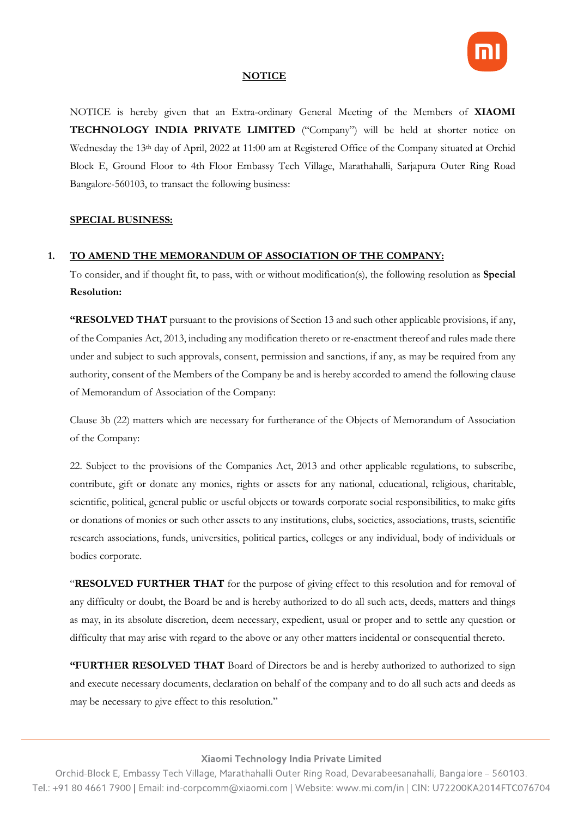

### **NOTICE**

NOTICE is hereby given that an Extra-ordinary General Meeting of the Members of **XIAOMI TECHNOLOGY INDIA PRIVATE LIMITED** ("Company") will be held at shorter notice on Wednesday the 13<sup>th</sup> day of April, 2022 at 11:00 am at Registered Office of the Company situated at Orchid Block E, Ground Floor to 4th Floor Embassy Tech Village, Marathahalli, Sarjapura Outer Ring Road Bangalore-560103, to transact the following business:

### **SPECIAL BUSINESS:**

### **1. TO AMEND THE MEMORANDUM OF ASSOCIATION OF THE COMPANY:**

To consider, and if thought fit, to pass, with or without modification(s), the following resolution as **Special Resolution:**

**"RESOLVED THAT** pursuant to the provisions of Section 13 and such other applicable provisions, if any, of the Companies Act, 2013, including any modification thereto or re-enactment thereof and rules made there under and subject to such approvals, consent, permission and sanctions, if any, as may be required from any authority, consent of the Members of the Company be and is hereby accorded to amend the following clause of Memorandum of Association of the Company:

Clause 3b (22) matters which are necessary for furtherance of the Objects of Memorandum of Association of the Company:

22. Subject to the provisions of the Companies Act, 2013 and other applicable regulations, to subscribe, contribute, gift or donate any monies, rights or assets for any national, educational, religious, charitable, scientific, political, general public or useful objects or towards corporate social responsibilities, to make gifts or donations of monies or such other assets to any institutions, clubs, societies, associations, trusts, scientific research associations, funds, universities, political parties, colleges or any individual, body of individuals or bodies corporate.

"**RESOLVED FURTHER THAT** for the purpose of giving effect to this resolution and for removal of any difficulty or doubt, the Board be and is hereby authorized to do all such acts, deeds, matters and things as may, in its absolute discretion, deem necessary, expedient, usual or proper and to settle any question or difficulty that may arise with regard to the above or any other matters incidental or consequential thereto.

**"FURTHER RESOLVED THAT** Board of Directors be and is hereby authorized to authorized to sign and execute necessary documents, declaration on behalf of the company and to do all such acts and deeds as may be necessary to give effect to this resolution."

Xiaomi Technology India Private Limited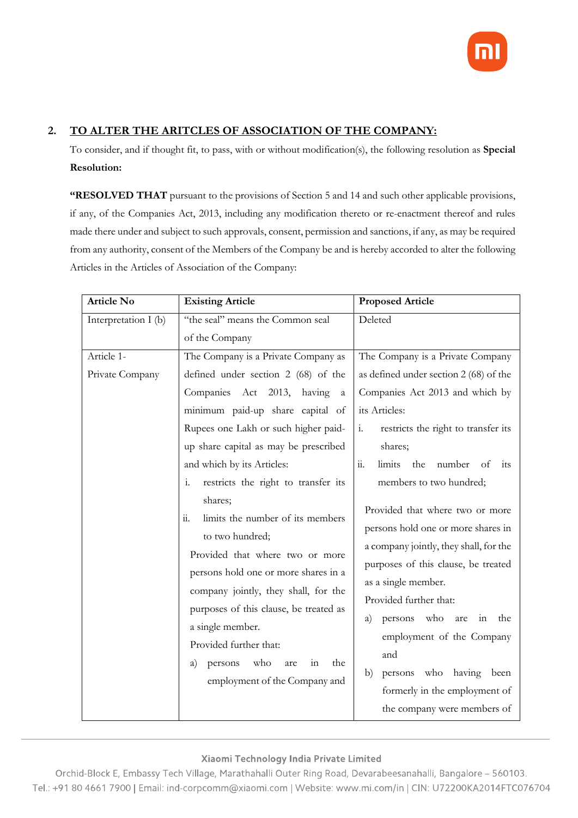

## **2. TO ALTER THE ARITCLES OF ASSOCIATION OF THE COMPANY:**

To consider, and if thought fit, to pass, with or without modification(s), the following resolution as **Special Resolution:**

**"RESOLVED THAT** pursuant to the provisions of Section 5 and 14 and such other applicable provisions, if any, of the Companies Act, 2013, including any modification thereto or re-enactment thereof and rules made there under and subject to such approvals, consent, permission and sanctions, if any, as may be required from any authority, consent of the Members of the Company be and is hereby accorded to alter the following Articles in the Articles of Association of the Company:

| <b>Article No</b>             | <b>Existing Article</b>                                                                                                                                                                                                                                                                                                                                                                               | <b>Proposed Article</b>                                                                                                                                                                                                                                                                                                                                  |
|-------------------------------|-------------------------------------------------------------------------------------------------------------------------------------------------------------------------------------------------------------------------------------------------------------------------------------------------------------------------------------------------------------------------------------------------------|----------------------------------------------------------------------------------------------------------------------------------------------------------------------------------------------------------------------------------------------------------------------------------------------------------------------------------------------------------|
| Interpretation I (b)          | "the seal" means the Common seal                                                                                                                                                                                                                                                                                                                                                                      | Deleted                                                                                                                                                                                                                                                                                                                                                  |
|                               | of the Company                                                                                                                                                                                                                                                                                                                                                                                        |                                                                                                                                                                                                                                                                                                                                                          |
| Article 1-<br>Private Company | The Company is a Private Company as<br>defined under section 2 (68) of the<br>Companies Act 2013,<br>having<br>a<br>minimum paid-up share capital of<br>Rupees one Lakh or such higher paid-<br>up share capital as may be prescribed<br>and which by its Articles:<br>$\mathbf{i}$ .<br>restricts the right to transfer its<br>shares;<br>$\dddot{\mathbf{u}}$ .<br>limits the number of its members | The Company is a Private Company<br>as defined under section 2 (68) of the<br>Companies Act 2013 and which by<br>its Articles:<br>restricts the right to transfer its<br>$\mathbf{i}$ .<br>shares;<br>$\dddot{a}$ .<br>limits<br>the<br>number<br>of<br>its<br>members to two hundred;<br>Provided that where two or more                                |
|                               | to two hundred;<br>Provided that where two or more<br>persons hold one or more shares in a<br>company jointly, they shall, for the<br>purposes of this clause, be treated as<br>a single member.<br>Provided further that:<br>who<br>the<br>a)<br>persons<br>are<br>111<br>employment of the Company and                                                                                              | persons hold one or more shares in<br>a company jointly, they shall, for the<br>purposes of this clause, be treated<br>as a single member.<br>Provided further that:<br>who<br>persons<br>the<br>a)<br>are<br>1n<br>employment of the Company<br>and<br>persons who having<br>been<br>b)<br>formerly in the employment of<br>the company were members of |

### Xiaomi Technology India Private Limited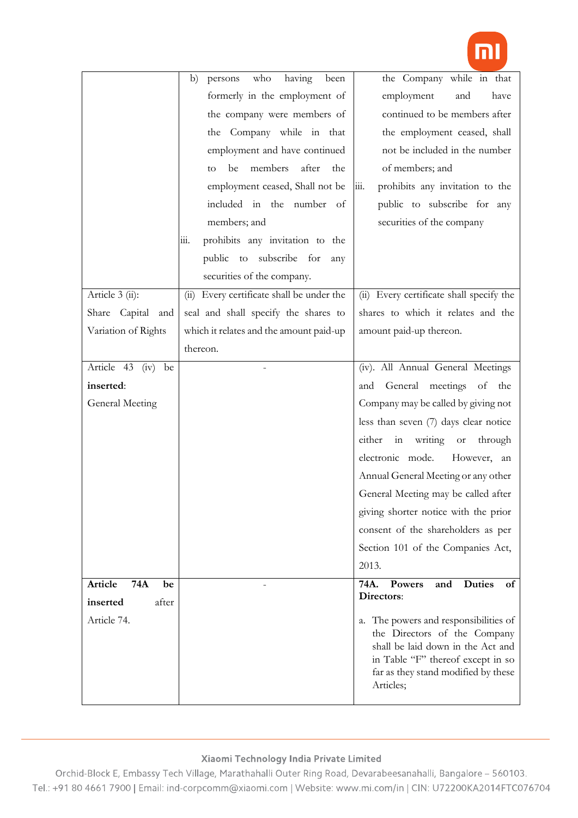

|                       | who<br>having<br>been<br>b)<br>persons         | the Company while in that                                                                                                                                                                           |
|-----------------------|------------------------------------------------|-----------------------------------------------------------------------------------------------------------------------------------------------------------------------------------------------------|
|                       | formerly in the employment of                  | employment<br>and<br>have                                                                                                                                                                           |
|                       | the company were members of                    | continued to be members after                                                                                                                                                                       |
|                       | the Company while in that                      | the employment ceased, shall                                                                                                                                                                        |
|                       | employment and have continued                  | not be included in the number                                                                                                                                                                       |
|                       | be<br>members<br>after<br>the<br>to            | of members; and                                                                                                                                                                                     |
|                       | employment ceased, Shall not be                | $\overline{111}$ .<br>prohibits any invitation to the                                                                                                                                               |
|                       | included in the number of                      | public to subscribe for any                                                                                                                                                                         |
|                       | members; and                                   | securities of the company                                                                                                                                                                           |
|                       | prohibits any invitation to the<br><u>ііі.</u> |                                                                                                                                                                                                     |
|                       | public to subscribe for<br>any                 |                                                                                                                                                                                                     |
|                       | securities of the company.                     |                                                                                                                                                                                                     |
| Article 3 (ii):       | (ii) Every certificate shall be under the      | (ii) Every certificate shall specify the                                                                                                                                                            |
| Share Capital<br>and  | seal and shall specify the shares to           | shares to which it relates and the                                                                                                                                                                  |
| Variation of Rights   | which it relates and the amount paid-up        | amount paid-up thereon.                                                                                                                                                                             |
|                       | thereon.                                       |                                                                                                                                                                                                     |
| Article 43 (iv)<br>be |                                                | (iv). All Annual General Meetings                                                                                                                                                                   |
| inserted:             |                                                | General meetings<br>of<br>the<br>and                                                                                                                                                                |
| General Meeting       |                                                | Company may be called by giving not                                                                                                                                                                 |
|                       |                                                | less than seven (7) days clear notice                                                                                                                                                               |
|                       |                                                | either in writing<br><b>or</b><br>through                                                                                                                                                           |
|                       |                                                | electronic mode.<br>However, an                                                                                                                                                                     |
|                       |                                                | Annual General Meeting or any other                                                                                                                                                                 |
|                       |                                                | General Meeting may be called after                                                                                                                                                                 |
|                       |                                                | giving shorter notice with the prior                                                                                                                                                                |
|                       |                                                | consent of the shareholders as per                                                                                                                                                                  |
|                       |                                                | Section 101 of the Companies Act,                                                                                                                                                                   |
|                       |                                                | 2013.                                                                                                                                                                                               |
| Article<br>74A<br>be  |                                                | 74A.<br><b>Duties</b><br><b>Powers</b><br>and<br>οf                                                                                                                                                 |
| inserted<br>after     |                                                | Directors:                                                                                                                                                                                          |
| Article 74.           |                                                | a. The powers and responsibilities of<br>the Directors of the Company<br>shall be laid down in the Act and<br>in Table "F" thereof except in so<br>far as they stand modified by these<br>Articles; |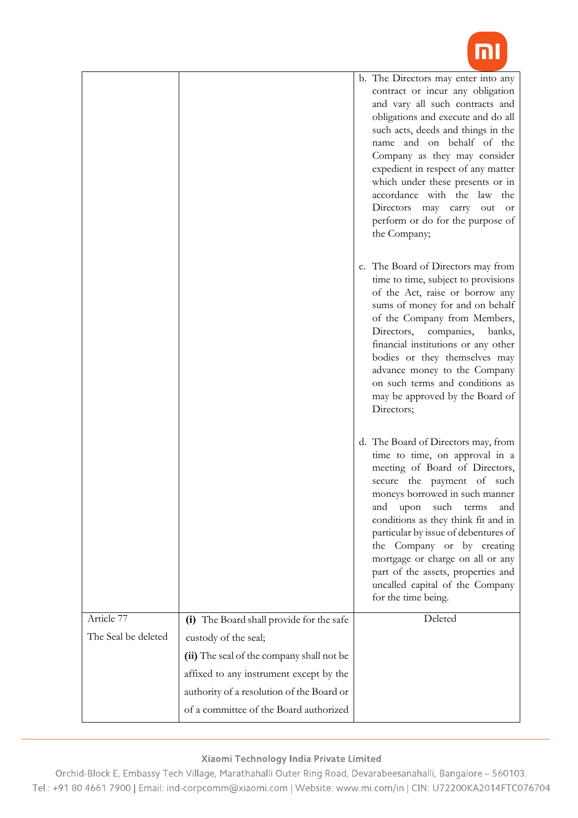

|                     |                                                                                     | b. The Directors may enter into any<br>contract or incur any obligation<br>and vary all such contracts and<br>obligations and execute and do all<br>such acts, deeds and things in the<br>name and on behalf of the<br>Company as they may consider<br>expedient in respect of any matter<br>which under these presents or in<br>accordance with the law the<br>Directors may carry out or<br>perform or do for the purpose of<br>the Company;                  |
|---------------------|-------------------------------------------------------------------------------------|-----------------------------------------------------------------------------------------------------------------------------------------------------------------------------------------------------------------------------------------------------------------------------------------------------------------------------------------------------------------------------------------------------------------------------------------------------------------|
|                     |                                                                                     | c. The Board of Directors may from<br>time to time, subject to provisions<br>of the Act, raise or borrow any<br>sums of money for and on behalf<br>of the Company from Members,<br>Directors,<br>companies,<br>banks,<br>financial institutions or any other<br>bodies or they themselves may<br>advance money to the Company<br>on such terms and conditions as<br>may be approved by the Board of<br>Directors;                                               |
|                     |                                                                                     | d. The Board of Directors may, from<br>time to time, on approval in a<br>meeting of Board of Directors,<br>secure the payment of such<br>moneys borrowed in such manner<br>and<br>upon<br>such<br>terms<br>and<br>conditions as they think fit and in<br>particular by issue of debentures of<br>the Company or by creating<br>mortgage or charge on all or any<br>part of the assets, properties and<br>uncalled capital of the Company<br>for the time being. |
| Article 77          | (i) The Board shall provide for the safe                                            | Deleted                                                                                                                                                                                                                                                                                                                                                                                                                                                         |
| The Seal be deleted | custody of the seal;                                                                |                                                                                                                                                                                                                                                                                                                                                                                                                                                                 |
|                     | (ii) The seal of the company shall not be                                           |                                                                                                                                                                                                                                                                                                                                                                                                                                                                 |
|                     | affixed to any instrument except by the                                             |                                                                                                                                                                                                                                                                                                                                                                                                                                                                 |
|                     | authority of a resolution of the Board or<br>of a committee of the Board authorized |                                                                                                                                                                                                                                                                                                                                                                                                                                                                 |
|                     |                                                                                     |                                                                                                                                                                                                                                                                                                                                                                                                                                                                 |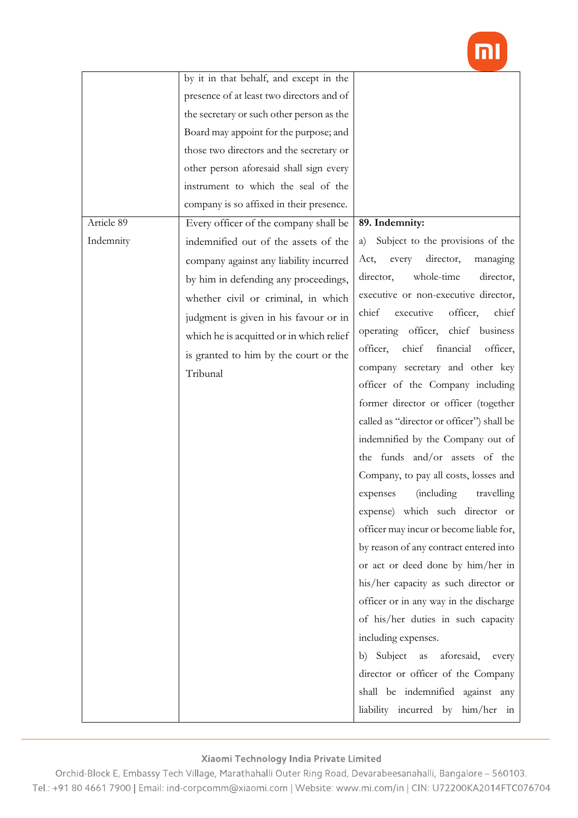

|            | by it in that behalf, and except in the   |                                              |
|------------|-------------------------------------------|----------------------------------------------|
|            | presence of at least two directors and of |                                              |
|            | the secretary or such other person as the |                                              |
|            | Board may appoint for the purpose; and    |                                              |
|            | those two directors and the secretary or  |                                              |
|            | other person aforesaid shall sign every   |                                              |
|            | instrument to which the seal of the       |                                              |
|            | company is so affixed in their presence.  |                                              |
| Article 89 | Every officer of the company shall be     | 89. Indemnity:                               |
| Indemnity  | indemnified out of the assets of the      | Subject to the provisions of the<br>a)       |
|            | company against any liability incurred    | Act,<br>director,<br>managing<br>every       |
|            | by him in defending any proceedings,      | director,<br>whole-time<br>director,         |
|            | whether civil or criminal, in which       | executive or non-executive director,         |
|            | judgment is given in his favour or in     | chief<br>officer,<br>chief<br>executive      |
|            | which he is acquitted or in which relief  | operating<br>officer, chief business         |
|            | is granted to him by the court or the     | financial<br>officer,<br>chief<br>officer,   |
|            | Tribunal                                  | company secretary and other key              |
|            |                                           | officer of the Company including             |
|            |                                           | former director or officer (together         |
|            |                                           | called as "director or officer") shall be    |
|            |                                           | indemnified by the Company out of            |
|            |                                           | the funds and/or assets of the               |
|            |                                           | Company, to pay all costs, losses and        |
|            |                                           | <i>(including)</i><br>expenses<br>travelling |
|            |                                           | expense) which such director or              |
|            |                                           | officer may incur or become liable for,      |
|            |                                           | by reason of any contract entered into       |
|            |                                           | or act or deed done by him/her in            |
|            |                                           | his/her capacity as such director or         |
|            |                                           | officer or in any way in the discharge       |
|            |                                           | of his/her duties in such capacity           |
|            |                                           | including expenses.                          |
|            |                                           | b) Subject<br>aforesaid,<br>as<br>every      |
|            |                                           | director or officer of the Company           |
|            |                                           | shall be indemnified against any             |
|            |                                           | liability incurred by him/her in             |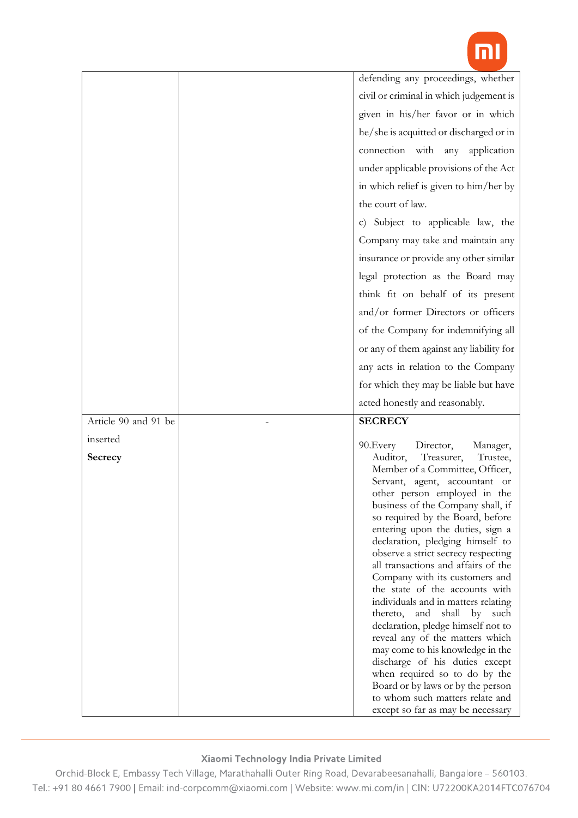

|                      | defending any proceedings, whether                                                                                                                                                                                                                                                                                                                                                                                                                                                                                                                                                                                                                                                                                                                                                                           |
|----------------------|--------------------------------------------------------------------------------------------------------------------------------------------------------------------------------------------------------------------------------------------------------------------------------------------------------------------------------------------------------------------------------------------------------------------------------------------------------------------------------------------------------------------------------------------------------------------------------------------------------------------------------------------------------------------------------------------------------------------------------------------------------------------------------------------------------------|
|                      | civil or criminal in which judgement is                                                                                                                                                                                                                                                                                                                                                                                                                                                                                                                                                                                                                                                                                                                                                                      |
|                      | given in his/her favor or in which                                                                                                                                                                                                                                                                                                                                                                                                                                                                                                                                                                                                                                                                                                                                                                           |
|                      | he/she is acquitted or discharged or in                                                                                                                                                                                                                                                                                                                                                                                                                                                                                                                                                                                                                                                                                                                                                                      |
|                      | connection with any application                                                                                                                                                                                                                                                                                                                                                                                                                                                                                                                                                                                                                                                                                                                                                                              |
|                      | under applicable provisions of the Act                                                                                                                                                                                                                                                                                                                                                                                                                                                                                                                                                                                                                                                                                                                                                                       |
|                      | in which relief is given to him/her by                                                                                                                                                                                                                                                                                                                                                                                                                                                                                                                                                                                                                                                                                                                                                                       |
|                      | the court of law.                                                                                                                                                                                                                                                                                                                                                                                                                                                                                                                                                                                                                                                                                                                                                                                            |
|                      | c) Subject to applicable law, the                                                                                                                                                                                                                                                                                                                                                                                                                                                                                                                                                                                                                                                                                                                                                                            |
|                      |                                                                                                                                                                                                                                                                                                                                                                                                                                                                                                                                                                                                                                                                                                                                                                                                              |
|                      | Company may take and maintain any                                                                                                                                                                                                                                                                                                                                                                                                                                                                                                                                                                                                                                                                                                                                                                            |
|                      | insurance or provide any other similar                                                                                                                                                                                                                                                                                                                                                                                                                                                                                                                                                                                                                                                                                                                                                                       |
|                      | legal protection as the Board may                                                                                                                                                                                                                                                                                                                                                                                                                                                                                                                                                                                                                                                                                                                                                                            |
|                      | think fit on behalf of its present                                                                                                                                                                                                                                                                                                                                                                                                                                                                                                                                                                                                                                                                                                                                                                           |
|                      | and/or former Directors or officers                                                                                                                                                                                                                                                                                                                                                                                                                                                                                                                                                                                                                                                                                                                                                                          |
|                      | of the Company for indemnifying all                                                                                                                                                                                                                                                                                                                                                                                                                                                                                                                                                                                                                                                                                                                                                                          |
|                      | or any of them against any liability for                                                                                                                                                                                                                                                                                                                                                                                                                                                                                                                                                                                                                                                                                                                                                                     |
|                      | any acts in relation to the Company                                                                                                                                                                                                                                                                                                                                                                                                                                                                                                                                                                                                                                                                                                                                                                          |
|                      |                                                                                                                                                                                                                                                                                                                                                                                                                                                                                                                                                                                                                                                                                                                                                                                                              |
|                      | for which they may be liable but have                                                                                                                                                                                                                                                                                                                                                                                                                                                                                                                                                                                                                                                                                                                                                                        |
|                      | acted honestly and reasonably.                                                                                                                                                                                                                                                                                                                                                                                                                                                                                                                                                                                                                                                                                                                                                                               |
| Article 90 and 91 be | <b>SECRECY</b>                                                                                                                                                                                                                                                                                                                                                                                                                                                                                                                                                                                                                                                                                                                                                                                               |
|                      |                                                                                                                                                                                                                                                                                                                                                                                                                                                                                                                                                                                                                                                                                                                                                                                                              |
| inserted<br>Secrecy  | 90. Every<br>Director,<br>Manager,<br>Trustee,<br>Auditor,<br>Treasurer,<br>Member of a Committee, Officer,<br>Servant, agent, accountant or<br>other person employed in the<br>business of the Company shall, if<br>so required by the Board, before<br>entering upon the duties, sign a<br>declaration, pledging himself to<br>observe a strict secrecy respecting<br>all transactions and affairs of the<br>Company with its customers and<br>the state of the accounts with<br>individuals and in matters relating<br>thereto, and shall by such<br>declaration, pledge himself not to<br>reveal any of the matters which<br>may come to his knowledge in the<br>discharge of his duties except<br>when required so to do by the<br>Board or by laws or by the person<br>to whom such matters relate and |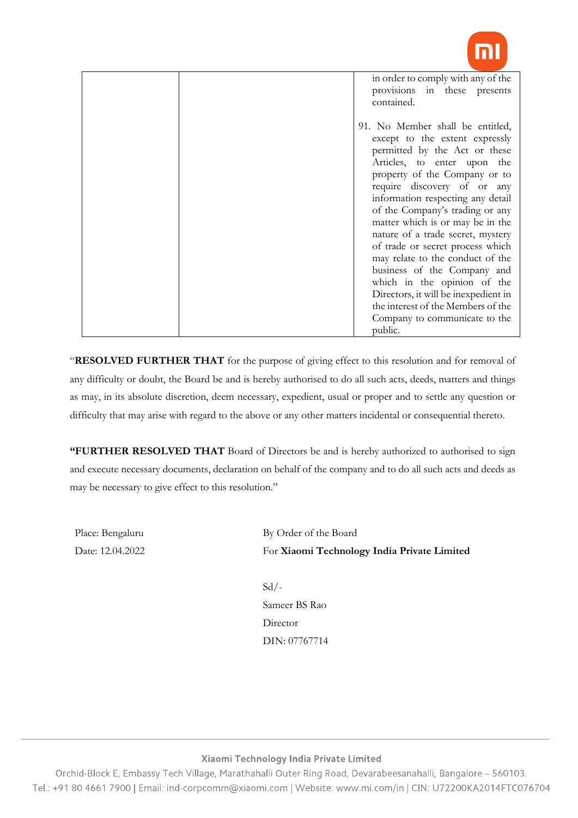

| 91. No Member shall be entitled,<br>except to the extent expressly<br>permitted by the Act or these<br>Articles, to enter upon the<br>property of the Company or to<br>require discovery of or any<br>information respecting any detail<br>of the Company's trading or any<br>matter which is or may be in the<br>nature of a trade secret, mystery<br>of trade or secret process which<br>may relate to the conduct of the<br>business of the Company and<br>which in the opinion of the<br>Directors, it will be inexpedient in<br>the interest of the Members of the<br>Company to communicate to the | in order to comply with any of the<br>provisions in these presents<br>contained. |
|----------------------------------------------------------------------------------------------------------------------------------------------------------------------------------------------------------------------------------------------------------------------------------------------------------------------------------------------------------------------------------------------------------------------------------------------------------------------------------------------------------------------------------------------------------------------------------------------------------|----------------------------------------------------------------------------------|
|                                                                                                                                                                                                                                                                                                                                                                                                                                                                                                                                                                                                          | public.                                                                          |

"**RESOLVED FURTHER THAT** for the purpose of giving effect to this resolution and for removal of any difficulty or doubt, the Board be and is hereby authorised to do all such acts, deeds, matters and things as may, in its absolute discretion, deem necessary, expedient, usual or proper and to settle any question or difficulty that may arise with regard to the above or any other matters incidental or consequential thereto.

**"FURTHER RESOLVED THAT** Board of Directors be and is hereby authorized to authorised to sign and execute necessary documents, declaration on behalf of the company and to do all such acts and deeds as may be necessary to give effect to this resolution."

Place: Bengaluru Date: 12.04.2022 By Order of the Board For **Xiaomi Technology India Private Limited**

 $Sd$  /-Sameer BS Rao **Director** DIN: 07767714

### Xiaomi Technology India Private Limited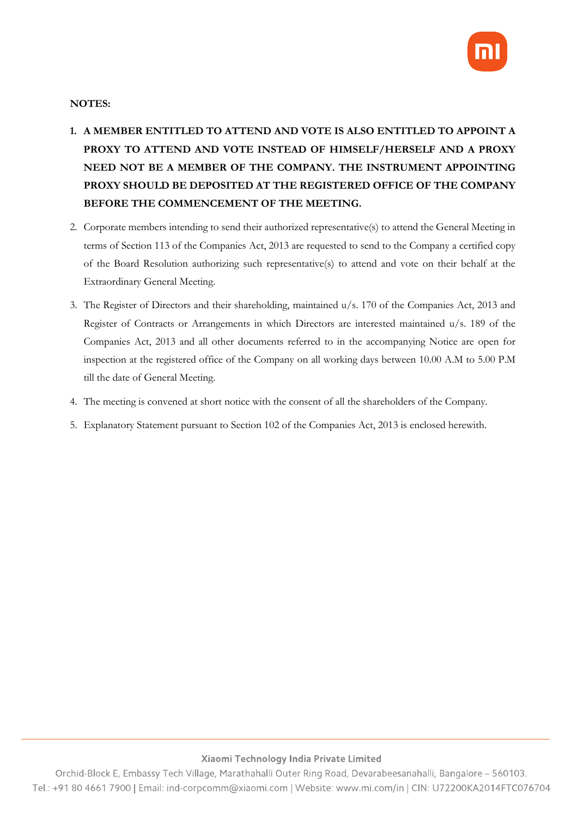

## **NOTES:**

- **1. A MEMBER ENTITLED TO ATTEND AND VOTE IS ALSO ENTITLED TO APPOINT A PROXY TO ATTEND AND VOTE INSTEAD OF HIMSELF/HERSELF AND A PROXY NEED NOT BE A MEMBER OF THE COMPANY. THE INSTRUMENT APPOINTING PROXY SHOULD BE DEPOSITED AT THE REGISTERED OFFICE OF THE COMPANY BEFORE THE COMMENCEMENT OF THE MEETING.**
- 2. Corporate members intending to send their authorized representative(s) to attend the General Meeting in terms of Section 113 of the Companies Act, 2013 are requested to send to the Company a certified copy of the Board Resolution authorizing such representative(s) to attend and vote on their behalf at the Extraordinary General Meeting.
- 3. The Register of Directors and their shareholding, maintained u/s. 170 of the Companies Act, 2013 and Register of Contracts or Arrangements in which Directors are interested maintained u/s. 189 of the Companies Act, 2013 and all other documents referred to in the accompanying Notice are open for inspection at the registered office of the Company on all working days between 10.00 A.M to 5.00 P.M till the date of General Meeting.
- 4. The meeting is convened at short notice with the consent of all the shareholders of the Company.
- 5. Explanatory Statement pursuant to Section 102 of the Companies Act, 2013 is enclosed herewith.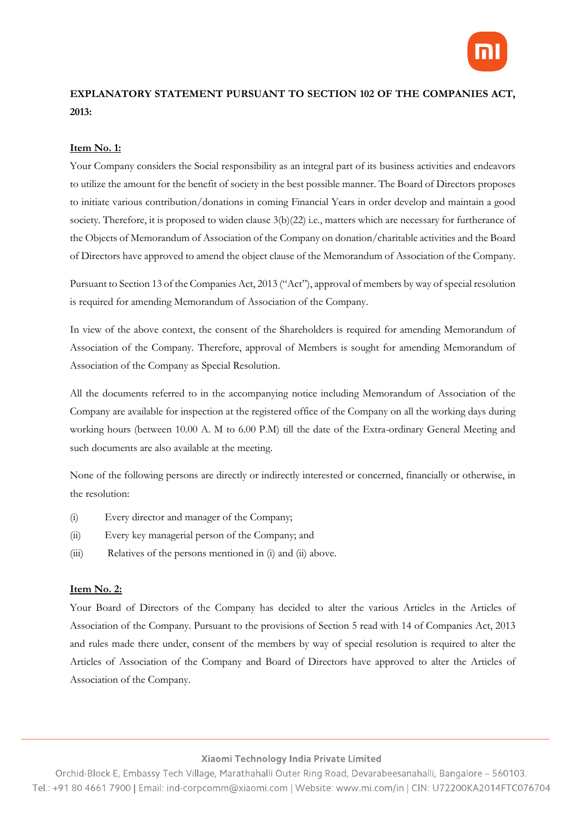

# **EXPLANATORY STATEMENT PURSUANT TO SECTION 102 OF THE COMPANIES ACT, 2013:**

### **Item No. 1:**

Your Company considers the Social responsibility as an integral part of its business activities and endeavors to utilize the amount for the benefit of society in the best possible manner. The Board of Directors proposes to initiate various contribution/donations in coming Financial Years in order develop and maintain a good society. Therefore, it is proposed to widen clause 3(b)(22) i.e., matters which are necessary for furtherance of the Objects of Memorandum of Association of the Company on donation/charitable activities and the Board of Directors have approved to amend the object clause of the Memorandum of Association of the Company.

Pursuant to Section 13 of the Companies Act, 2013 ("Act"), approval of members by way of special resolution is required for amending Memorandum of Association of the Company.

In view of the above context, the consent of the Shareholders is required for amending Memorandum of Association of the Company. Therefore, approval of Members is sought for amending Memorandum of Association of the Company as Special Resolution.

All the documents referred to in the accompanying notice including Memorandum of Association of the Company are available for inspection at the registered office of the Company on all the working days during working hours (between 10.00 A. M to 6.00 P.M) till the date of the Extra-ordinary General Meeting and such documents are also available at the meeting.

None of the following persons are directly or indirectly interested or concerned, financially or otherwise, in the resolution:

- (i) Every director and manager of the Company;
- (ii) Every key managerial person of the Company; and
- (iii) Relatives of the persons mentioned in (i) and (ii) above.

### **Item No. 2:**

Your Board of Directors of the Company has decided to alter the various Articles in the Articles of Association of the Company. Pursuant to the provisions of Section 5 read with 14 of Companies Act, 2013 and rules made there under, consent of the members by way of special resolution is required to alter the Articles of Association of the Company and Board of Directors have approved to alter the Articles of Association of the Company.

#### Xiaomi Technology India Private Limited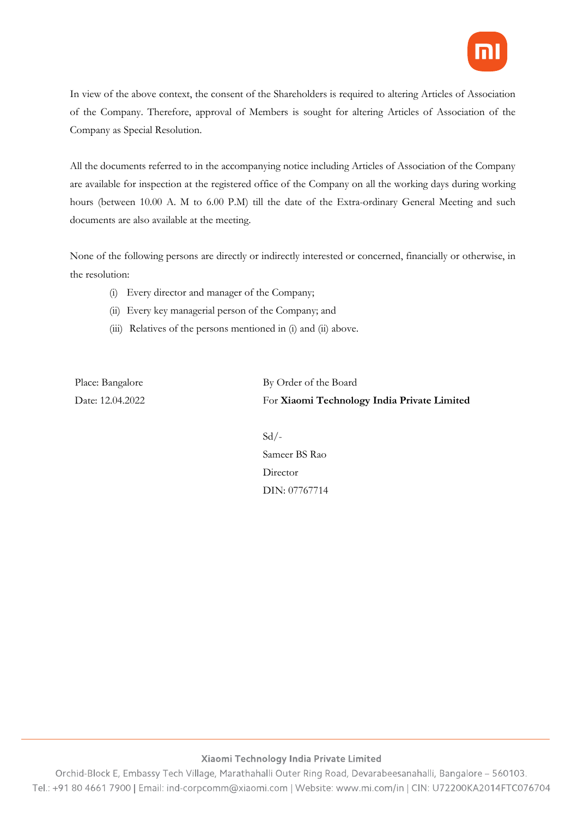

In view of the above context, the consent of the Shareholders is required to altering Articles of Association of the Company. Therefore, approval of Members is sought for altering Articles of Association of the Company as Special Resolution.

All the documents referred to in the accompanying notice including Articles of Association of the Company are available for inspection at the registered office of the Company on all the working days during working hours (between 10.00 A. M to 6.00 P.M) till the date of the Extra-ordinary General Meeting and such documents are also available at the meeting.

None of the following persons are directly or indirectly interested or concerned, financially or otherwise, in the resolution:

- (i) Every director and manager of the Company;
- (ii) Every key managerial person of the Company; and
- (iii) Relatives of the persons mentioned in (i) and (ii) above.

Place: Bangalore Date: 12.04.2022 By Order of the Board For **Xiaomi Technology India Private Limited**

Sd/- Sameer BS Rao Director DIN: 07767714

### Xiaomi Technology India Private Limited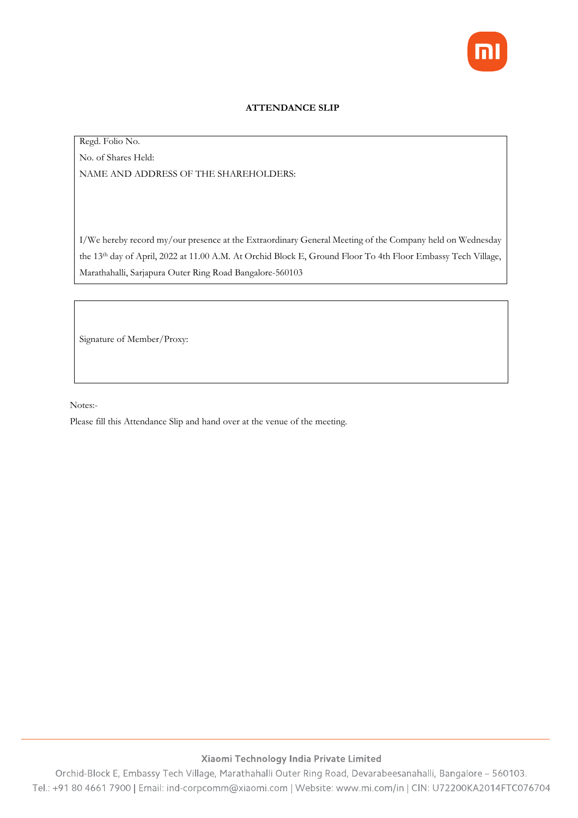

### **ATTENDANCE SLIP**

## Regd. Folio No. No. of Shares Held: NAME AND ADDRESS OF THE SHAREHOLDERS:

I/We hereby record my/our presence at the Extraordinary General Meeting of the Company held on Wednesday the 13th day of April, 2022 at 11.00 A.M. At Orchid Block E, Ground Floor To 4th Floor Embassy Tech Village, Marathahalli, Sarjapura Outer Ring Road Bangalore-560103

Signature of Member/Proxy:

Notes:-

Please fill this Attendance Slip and hand over at the venue of the meeting.

### Xiaomi Technology India Private Limited